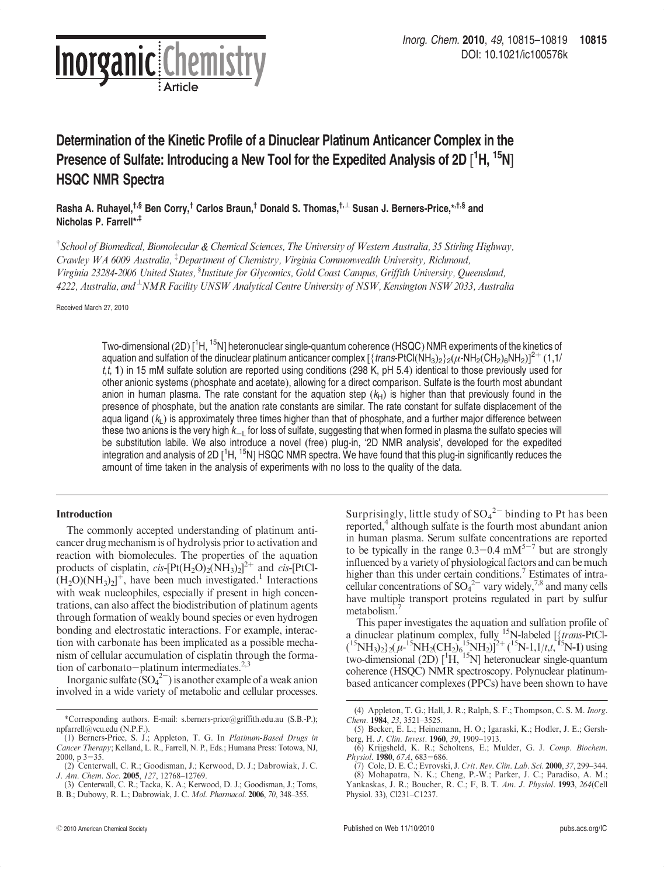

# Determination of the Kinetic Profile of a Dinuclear Platinum Anticancer Complex in the Presence of Sulfate: Introducing a New Tool for the Expedited Analysis of 2D [<sup>1</sup>H, <sup>15</sup>N] HSQC NMR Spectra

Rasha A. Ruhayel,<sup>†,§</sup> Ben Corry,<sup>†</sup> Carlos Braun,<sup>†</sup> Donald S. Thomas,<sup>†,⊥</sup> Susan J. Berners-Price,\*<sup>,†,§</sup> and Nicholas P. Farrell\*,‡

<sup>†</sup> School of Biomedical, Biomolecular & Chemical Sciences, The University of Western Australia, 35 Stirling Highway, Crawley WA 6009 Australia, <sup>‡</sup>Department of Chemistry, Virginia Commonwealth University, Richmond, Virginia 23284-2006 United States, <sup>§</sup>Institute for Glycomics, Gold Coast Campus, Griffith University, Queensland, 4222, Australia, and  $^{\perp}$ NMR Facility UNSW Analytical Centre University of NSW, Kensington NSW 2033, Australia

Received March 27, 2010

reary. Come 2010 Come 2010 Come 2010 Come 2011 Come 2011 Come 2011 Come 2011 Come 2011 Come 2011 Come 2011 Come 2011 Come 2011 Come 2011 Come 2011 Come 2011 Come 2011 Come 2011 Come 2011 Come 2011 Come 2011 Come 2011 Come Two-dimensional (2D) [<sup>1</sup>H, <sup>15</sup>N] heteronuclear single-quantum coherence (HSQC) NMR experiments of the kinetics of aquation and sulfation of the dinuclear platinum anticancer complex  $[\{trans-PtCl(NH_3)_2\}_2(\mu\text{-}NH_2(CH_2)_6NH_2)]^{2+}$  (1,1/  $t, t$ , 1) in 15 mM sulfate solution are reported using conditions (298 K, pH 5.4) identical to those previously used for other anionic systems (phosphate and acetate), allowing for a direct comparison. Sulfate is the fourth most abundant anion in human plasma. The rate constant for the aquation step  $(k_H)$  is higher than that previously found in the presence of phosphate, but the anation rate constants are similar. The rate constant for sulfate displacement of the aqua ligand  $(k<sub>L</sub>)$  is approximately three times higher than that of phosphate, and a further major difference between these two anions is the very high  $k_{-L}$  for loss of sulfate, suggesting that when formed in plasma the sulfato species will be substitution labile. We also introduce a novel (free) plug-in, '2D NMR analysis', developed for the expedited integration and analysis of 2D [<sup>1</sup>H, <sup>15</sup>N] HSQC NMR spectra. We have found that this plug-in significantly reduces the amount of time taken in the analysis of experiments with no loss to the quality of the data.

# Introduction

The commonly accepted understanding of platinum anticancer drug mechanism is of hydrolysis prior to activation and reaction with biomolecules. The properties of the aquation products of cisplatin,  $cis$ -[Pt(H<sub>2</sub>O)<sub>2</sub>(NH<sub>3</sub>)<sub>2</sub>]<sup>2+</sup> and  $cis$ -[PtCl- $(H_2O(NH_3)_2]^+$ , have been much investigated.<sup>1</sup> Interactions with weak nucleophiles, especially if present in high concentrations, can also affect the biodistribution of platinum agents through formation of weakly bound species or even hydrogen bonding and electrostatic interactions. For example, interaction with carbonate has been implicated as a possible mechanism of cellular accumulation of cisplatin through the formation of carbonato-platinum intermediates. $2,3$ 

Inorganic sulfate  $(SO_4^2)$  is another example of a weak anion involved in a wide variety of metabolic and cellular processes.

Surprisingly, little study of  ${SO_4}^{2-}$  binding to Pt has been reported,<sup>4</sup> although sulfate is the fourth most abundant anion in human plasma. Serum sulfate concentrations are reported to be typically in the range  $0.3-0.4$  mM<sup>5-7</sup> but are strongly influenced by a variety of physiological factors and can be much higher than this under certain conditions.<sup>7</sup> Estimates of intracellular concentrations of  $SO_4^2$ <sup>-</sup> vary widely,<sup>7,8</sup> and many cells have multiple transport proteins regulated in part by sulfur metabolism.

This paper investigates the aquation and sulfation profile of a dinuclear platinum complex, fully <sup>15</sup>N-labeled [{trans-PtCl- $({}^{15}NH_3)_2$ }<sub>2</sub>( $\mu$ -<sup>15</sup>NH<sub>2</sub>(CH<sub>2</sub>)<sub>6</sub><sup>15</sup>NH<sub>2</sub>)]<sup>2+</sup>(<sup>15</sup>N-1,1/t,t,<sup>15</sup>N-1) using two-dimensional  $(2D)$   $[{}^{1}\tilde{H}, {}^{15}N]$  heteronuclear single-quantum coherence (HSQC) NMR spectroscopy. Polynuclear platinumbased anticancer complexes (PPCs) have been shown to have

<sup>\*</sup>Corresponding authors. E-mail: s.berners-price@griffith.edu.au (S.B.-P.); npfarrell@vcu.edu (N.P.F.).

<sup>(1)</sup> Berners-Price, S. J.; Appleton, T. G. In Platinum-Based Drugs in Cancer Therapy; Kelland, L. R., Farrell, N. P., Eds.; Humana Press: Totowa, NJ, 2000,  $p$  3-35.

<sup>(2)</sup> Centerwall, C. R.; Goodisman, J.; Kerwood, D. J.; Dabrowiak, J. C. J. Am. Chem. Soc. 2005, 127, 12768–12769.

<sup>(3)</sup> Centerwall, C. R.; Tacka, K. A.; Kerwood, D. J.; Goodisman, J.; Toms, B. B.; Dubowy, R. L.; Dabrowiak, J. C. Mol. Pharmacol. 2006, 70, 348–355.

<sup>(4)</sup> Appleton, T. G.; Hall, J. R.; Ralph, S. F.; Thompson, C. S. M. Inorg. Chem. 1984, 23, 3521–3525.

<sup>(5)</sup> Becker, E. L.; Heinemann, H. O.; Igaraski, K.; Hodler, J. E.; Gershberg, H. J. Clin. Invest. 1960, 39, 1909–1913.

<sup>(6)</sup> Krijgsheld, K. R.; Scholtens, E.; Mulder, G. J. Comp. Biochem. Physiol. 1980, 67A, 683-686.

<sup>(7)</sup> Cole, D. E. C.; Evrovski, J*. Crit. Rev. Clin. Lab. Sci.* **2000**, 37, 299–344.<br>(8) Mohapatra, N. K.; Cheng, P.-W.; Parker, J. C.; Paradiso, A. M.;

Yankaskas, J. R.; Boucher, R. C.; F, B. T. Am. J. Physiol. 1993, 264(Cell Physiol. 33), Cl231–C1237.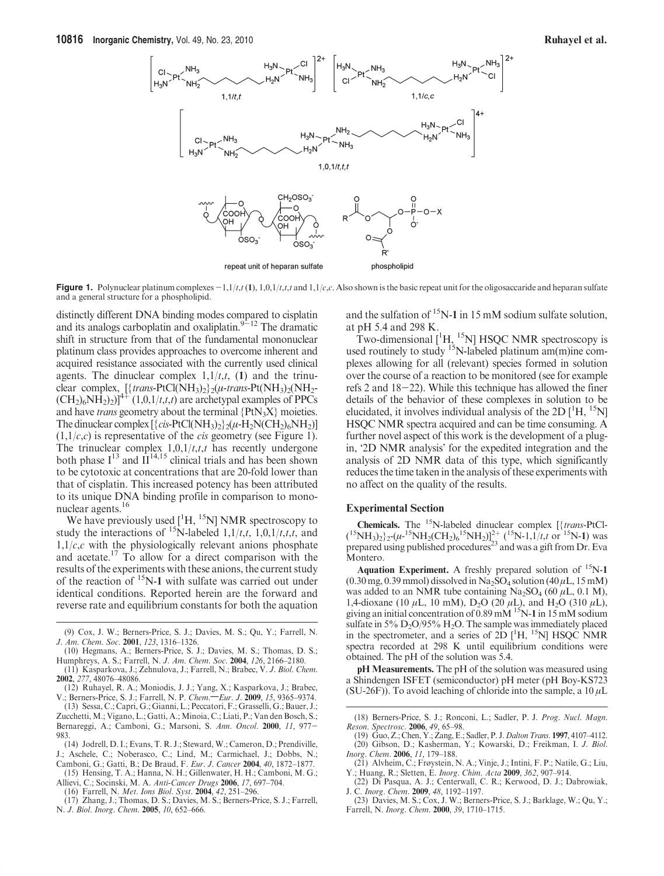

Figure 1. Polynuclear platinum complexes  $-1,1/t, t(1), 1,0,1/t, t, t$  and  $1,1/c, c$ . Also shown is the basic repeat unit for the oligosaccaride and heparan sulfate and a general structure for a phospholipid.

distinctly different DNA binding modes compared to cisplatin and its analogs carboplatin and oxaliplatin. $9-12$  The dramatic shift in structure from that of the fundamental mononuclear platinum class provides approaches to overcome inherent and acquired resistance associated with the currently used clinical agents. The dinuclear complex  $1,1/t,t$ , (1) and the trinuclear complex,  $[\{trans-PtCl(NH_3)_2\}_2(\mu\text{-}trans-Pt(NH_3)_2(NH_2\text{-}U)]$  $(CH_2)_{6}NH_2|_{2})$ <sup>4+</sup>  $(1,0,1/t,t,t)$  are archetypal examples of PPCs and have *trans* geometry about the terminal  ${PtN_3X}$  moieties. The dinuclear complex  $[\{cis-PtCl(NH_3)_2\} _2(\mu$ -H<sub>2</sub>N(CH<sub>2</sub>)<sub>6</sub>NH<sub>2</sub>)]  $(1,1/c,c)$  is representative of the *cis* geometry (see Figure 1). The trinuclear complex  $1,0,1/t,t,t$  has recently undergone both phase  $I^{13}$  and  $\Pi^{14,15}$  clinical trials and has been shown to be cytotoxic at concentrations that are 20-fold lower than that of cisplatin. This increased potency has been attributed to its unique DNA binding profile in comparison to mononuclear agents.16

We have previously used  $[$ <sup>1</sup>H, <sup>15</sup>N] NMR spectroscopy to study the interactions of <sup>15</sup>N-labeled  $1,1/t,t$ ,  $1,0,1/t,t,t$ , and  $1,1/c,c$  with the physiologically relevant anions phosphate and acetate.17 To allow for a direct comparison with the results of the experiments with these anions, the current study of the reaction of 15N-1 with sulfate was carried out under identical conditions. Reported herein are the forward and reverse rate and equilibrium constants for both the aquation

- Zucchetti, M.; Vigano, L.; Gatti, A.; Minoia, C.; Liati, P.; Van den Bosch, S.; Bernareggi, A.; Camboni, G.; Marsoni, S. Ann. Oncol. 2000, 11, 977- 983.
- (14) Jodrell, D. I.; Evans, T. R. J.; Steward, W.; Cameron, D.; Prendiville, J.; Aschele, C.; Noberasco, C.; Lind, M.; Carmichael, J.; Dobbs, N.; Camboni, G.; Gatti, B.; De Braud, F. Eur. J. Cancer 2004, 40, 1872–1877.

(15) Hensing, T. A.; Hanna, N. H.; Gillenwater, H. H.; Camboni, M. G.; Allievi, C.; Socinski, M. A. Anti-Cancer Drugs 2006, 17, 697–704.

(16) Farrell, N. Met. Ions Biol. Syst. 2004, 42, 251–296.

and the sulfation of  $15N-1$  in 15 mM sodium sulfate solution, at pH 5.4 and 298 K.

Two-dimensional  $[$ <sup>1</sup>H, <sup>15</sup>N] HSQC NMR spectroscopy is used routinely to study  $^{15}$ N-labeled platinum am(m)ine complexes allowing for all (relevant) species formed in solution over the course of a reaction to be monitored (see for example refs 2 and 18-22). While this technique has allowed the finer details of the behavior of these complexes in solution to be elucidated, it involves individual analysis of the 2D  $[^1H, ^15N]$ HSQC NMR spectra acquired and can be time consuming. A further novel aspect of this work is the development of a plugin, '2D NMR analysis' for the expedited integration and the analysis of 2D NMR data of this type, which significantly reduces the time taken in the analysis of these experiments with no affect on the quality of the results.

## Experimental Section

**Chemicals.** The <sup>15</sup>N-labeled dinuclear complex  $\frac{1}{4}$  trans-PtCl- $({}^{15}NH_3)_2$ }<sub>2</sub>-( $\mu$ - $^{15}NH_2(CH_2)_6$ <sup>15</sup>NH<sub>2</sub>)]<sup>2+</sup> ( $^{15}N$ -1,1/t,t or  $^{15}N$ -1) was prepared using published procedures<sup>23</sup> and was a gift from Dr. Eva Montero.

Aquation Experiment. A freshly prepared solution of  $^{15}N-1$  $(0.30$  mg,  $0.39$  mmol) dissolved in Na<sub>2</sub>SO<sub>4</sub> solution (40  $\mu$ L, 15 mM) was added to an NMR tube containing  $\text{Na}_2\text{SO}_4$  (60  $\mu\text{L}$ , 0.1 M), 1,4-dioxane (10 μL, 10 mM), D<sub>2</sub>O (20 μL), and H<sub>2</sub>O (310 μL), giving an initial concentration of  $\overline{0.89}$  mM  $\overline{^{15}}$ N-1 in 15 mM sodium sulfate in 5%  $D_2O/95% H_2O$ . The sample was immediately placed in the spectrometer, and a series of  $2D$  [<sup>1</sup>H, <sup>15</sup>N] HSQC NMR spectra recorded at 298 K until equilibrium conditions were obtained. The pH of the solution was 5.4.

pH Measurements. The pH of the solution was measured using a Shindengen ISFET (semiconductor) pH meter (pH Boy-KS723 (SU-26F)). To avoid leaching of chloride into the sample, a  $10 \mu L$ 

<sup>(9)</sup> Cox, J. W.; Berners-Price, S. J.; Davies, M. S.; Qu, Y.; Farrell, N. J. Am. Chem. Soc. 2001, 123, 1316–1326.

<sup>(10)</sup> Hegmans, A.; Berners-Price, S. J.; Davies, M. S.; Thomas, D. S.; Humphreys, A. S.; Farrell, N. J. Am. Chem. Soc. 2004, 126, 2166–2180.

<sup>(11)</sup> Kasparkova, J.; Zehnulova, J.; Farrell, N.; Brabec, V. J. Biol. Chem. 2002, 277, 48076–48086.

<sup>(12)</sup> Ruhayel, R. A.; Moniodis, J. J.; Yang, X.; Kasparkova, J.; Brabec, V.; Berners-Price, S. J.; Farrell, N. P. Chem.--Eur. J. 2009, 15, 9365-9374. (13) Sessa, C.; Capri, G.; Gianni, L.; Peccatori, F.; Grasselli, G.; Bauer, J.;

<sup>(17)</sup> Zhang, J.; Thomas, D. S.; Davies, M. S.; Berners-Price, S. J.; Farrell, N. J. Biol. Inorg. Chem. 2005, 10, 652–666.

<sup>(18)</sup> Berners-Price, S. J.; Ronconi, L.; Sadler, P. J. Prog. Nucl. Magn. Reson. Spectrosc. 2006, 49, 65–98.

<sup>(19)</sup> Guo, Z.; Chen, Y.; Zang, E.; Sadler, P. J. Dalton Trans. 1997, 4107-4112. (20) Gibson, D.; Kasherman, Y.; Kowarski, D.; Freikman, I. J. Biol. Inorg. Chem. 2006, 11, 179–188.

<sup>(21)</sup> Alvheim, C.; Frøystein, N. A.; Vinje, J.; Intini, F. P.; Natile, G.; Liu,

Y.; Huang, R.; Sletten, E. *Inorg. Chim. Acta* 2009, 362, 907–914.<br>(22) Di Pasqua, A. J.; Centerwall, C. R.; Kerwood, D. J.; Dabrowiak, J. C. Inorg. Chem. 2009, 48, 1192–1197.

<sup>(23)</sup> Davies, M. S.; Cox, J. W.; Berners-Price, S. J.; Barklage, W.; Qu, Y.; Farrell, N. Inorg. Chem. 2000, 39, 1710–1715.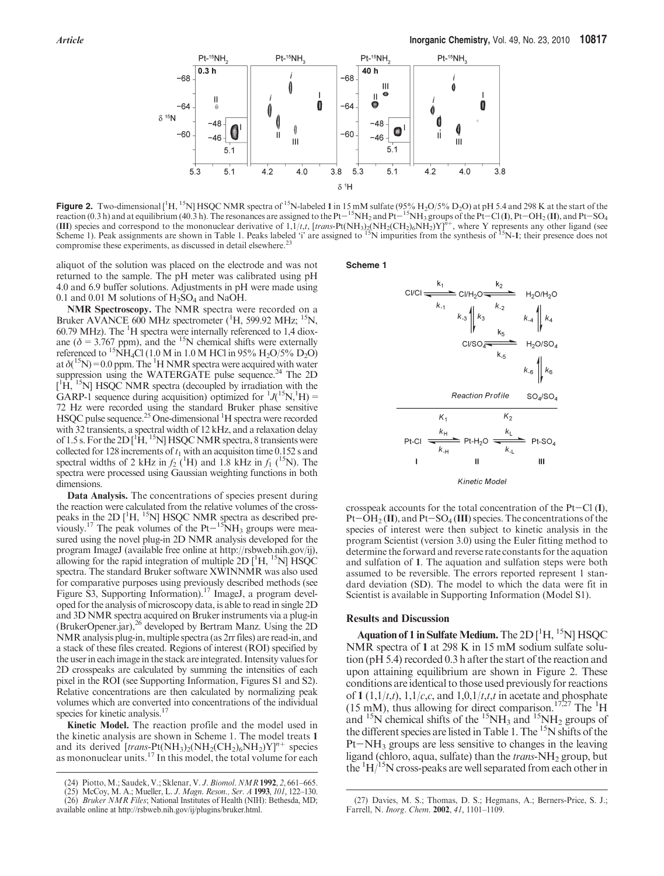

**Figure 2.** Two-dimensional  $\left[\begin{array}{c} H, 15N \end{array}\right] HSOC NMR$  spectra of  $15N$ -labeled 1 in 15 mM sulfate (95%  $H_2O/5\%$  D<sub>2</sub>O) at pH 5.4 and 298 K at the start of the treation (0.3 h) and at equilibrium (40.3 h). The resona reaction (0.3 h) and at equilibrium (40.3 h). The resonances are assigned to the Pt-<sup>15</sup>NH<sub>2</sub> and Pt<sup>-15</sup>NH<sub>3</sub> groups of the Pt-Cl (I), Pt-OH<sub>2</sub> (II), and Pt-SO<sub>4</sub> (III) species and correspond to the mononuclear derivative of  $1,1/t,t$ , [trans-Pt(NH<sub>3)2</sub>(NH<sub>2</sub>(CH<sub>2)6</sub>NH<sub>2</sub>)Y]<sup> $\hat{n}$ +, where Y represents any other ligand (see</sup> Scheme 1). Peak assignments are shown in Table 1. Peaks labeled 'i' are assigned to  $^{15}N$  impurities from the synthesis of  $^{15}N-1$ ; their presence does not compromise these experiments, as discussed in detail elsewhere.<sup>2</sup>

aliquot of the solution was placed on the electrode and was not returned to the sample. The pH meter was calibrated using pH 4.0 and 6.9 buffer solutions. Adjustments in pH were made using 0.1 and 0.01 M solutions of  $H_2SO_4$  and NaOH.

NMR Spectroscopy. The NMR spectra were recorded on a Bruker AVANCE 600 MHz spectrometer (<sup>1</sup>H, 599.92 MHz; <sup>15</sup>N, 60.79 MHz). The <sup>1</sup> H spectra were internally referenced to 1,4 dioxane ( $\delta$  = 3.767 ppm), and the <sup>15</sup>N chemical shifts were externally referenced to <sup>15</sup>NH<sub>4</sub>Cl (1.0 M in 1.0 M HCl in 95% H<sub>2</sub>O/5% D<sub>2</sub>O) at  $\delta(^{15}N)$  = 0.0 ppm. The <sup>1</sup>H NMR spectra were acquired with water suppression using the WATERGATE pulse sequence.<sup>24</sup> The 2D  $[$ <sup>1</sup>H, <sup>15</sup>N] HSQC NMR spectra (decoupled by irradiation with the GARP-1 sequence during acquisition) optimized for  ${}^{1}J(^{15}N, {}^{1}H)$  = 72 Hz were recorded using the standard Bruker phase sensitive HSQC pulse sequence.<sup>25</sup> One-dimensional <sup>1</sup>H spectra were recorded with 32 transients, a spectral width of 12 kHz, and a relaxation delay of 1.5 s. For the  $2D[^1\dot{H}, ^{15}N]$  HSQC NMR spectra, 8 transients were collected for 128 increments of  $t_1$  with an acquisiton time 0.152 s and spectral widths of 2 kHz in  $f_2$  (<sup>1</sup>H) and 1.8 kHz in  $f_1$  (<sup>15</sup>N). The spectra were processed using Gaussian weighting functions in both dimensions.

Data Analysis. The concentrations of species present during the reaction were calculated from the relative volumes of the crosspeaks in the 2D  $[$ <sup>1</sup>H, <sup>15</sup>N] HSQC NMR spectra as described previously.<sup>17</sup> The peak volumes of the Pt $-$ <sup>15</sup>NH<sub>3</sub> groups were measured using the novel plug-in 2D NMR analysis developed for the program ImageJ (available free online at http://rsbweb.nih.gov/ij), allowing for the rapid integration of multiple 2D  $[^1H, ^15N]$  HSQC spectra. The standard Bruker software XWINNMR was also used for comparative purposes using previously described methods (see Figure S3, Supporting Information).<sup>17</sup> ImageJ, a program developed for the analysis of microscopy data, is able to read in single 2D and 3D NMR spectra acquired on Bruker instruments via a plug-in (BrukerOpener.jar),<sup>26</sup> developed by Bertram Manz. Using the 2D NMR analysis plug-in, multiple spectra (as 2rr files) are read-in, and a stack of these files created. Regions of interest (ROI) specified by the user in each image in the stack are integrated. Intensity values for 2D crosspeaks are calculated by summing the intensities of each pixel in the ROI (see Supporting Information, Figures S1 and S2). Relative concentrations are then calculated by normalizing peak volumes which are converted into concentrations of the individual species for kinetic analysis.<sup>1</sup>

Kinetic Model. The reaction profile and the model used in the kinetic analysis are shown in Scheme 1. The model treats 1 and its derived  $[trans-Pt(NH<sub>3</sub>)<sub>2</sub>(NH<sub>2</sub>(CH<sub>2</sub>)<sub>6</sub>NH<sub>2</sub>)<sub>Y</sub>]<sup>n+</sup>$  species as mononuclear units.<sup>17</sup> In this model, the total volume for each



crosspeak accounts for the total concentration of the  $Pt-Cl$  (I),  $Pt-OH<sub>2</sub>(II)$ , and  $Pt-SO<sub>4</sub>(III)$  species. The concentrations of the species of interest were then subject to kinetic analysis in the program Scientist (version 3.0) using the Euler fitting method to determine the forward and reverse rate constants for the aquation and sulfation of 1. The aquation and sulfation steps were both assumed to be reversible. The errors reported represent 1 stan-

dard deviation (SD). The model to which the data were fit in Scientist is available in Supporting Information (Model S1).

#### Results and Discussion

Aquation of 1 in Sulfate Medium. The  $2D[^1H,{}^{15}N]$  HSQC NMR spectra of 1 at 298 K in 15 mM sodium sulfate solution (pH 5.4) recorded 0.3 h after the start of the reaction and upon attaining equilibrium are shown in Figure 2. These conditions are identical to those used previously for reactions of 1 (1,1/*t,t*), 1,1/*c,c*, and 1,0,1/*t,t,t* in acetate and phosphate  $(15 \text{ mM})$ , thus allowing for direct comparison.<sup>17,27</sup> The <sup>1</sup>H and  $15$ N chemical shifts of the  $15NH_3$  and  $15NH_2$  groups of the different species are listed in Table 1. The <sup>15</sup>N shifts of the  $Pt-NH_3$  groups are less sensitive to changes in the leaving ligand (chloro, aqua, sulfate) than the *trans*- $NH<sub>2</sub>$  group, but the  ${}^{1}H/{}^{15}N$  cross-peaks are well separated from each other in

<sup>(24)</sup> Piotto, M.; Saudek, V.; Sklenar, V. J. Biomol. NMR 1992, 2, 661–665.

<sup>(25)</sup> McCoy, M. A.; Mueller, L. J. Magn. Reson., Ser. A 1993, 101, 122–130. (26) Bruker NMR Files; National Institutes of Health (NIH): Bethesda, MD; available online at http://rsbweb.nih.gov/ij/plugins/bruker.html.

<sup>(27)</sup> Davies, M. S.; Thomas, D. S.; Hegmans, A.; Berners-Price, S. J.; Farrell, N. Inorg. Chem. 2002, 41, 1101–1109.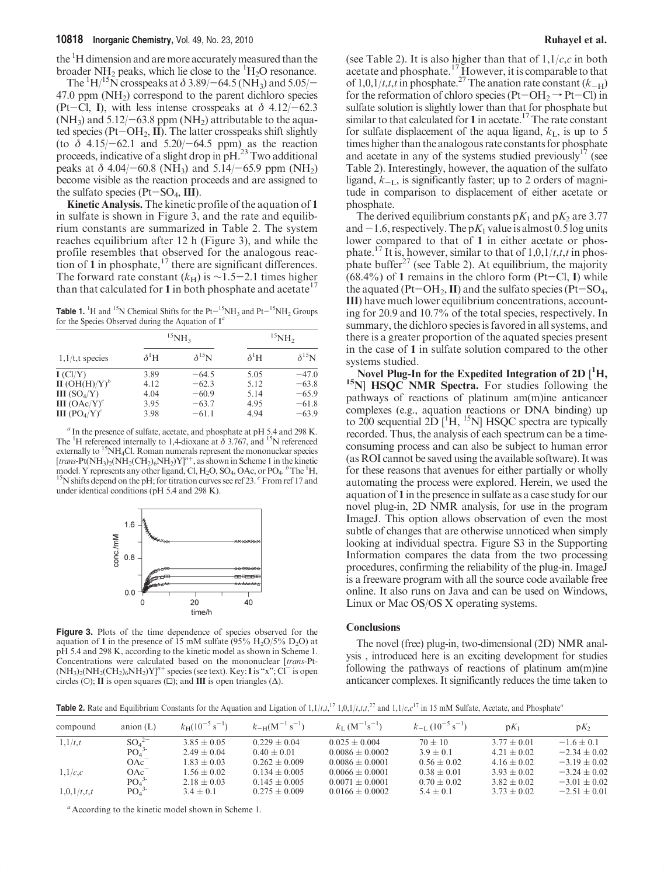the <sup>1</sup>H dimension and are more accurately measured than the broader NH<sub>2</sub> peaks, which lie close to the  ${}^{1}H_{2}O$  resonance.

The  ${}^{1}$ H/ ${}^{15}$ N crosspeaks at  $\delta$  3.89/–64.5 (NH<sub>3</sub>) and 5.05/– 47.0 ppm  $(NH<sub>2</sub>)$  correspond to the parent dichloro species (Pt-Cl, I), with less intense crosspeaks at  $\delta$  4.12/-62.3 (NH<sub>3</sub>) and  $5.12/-63.8$  ppm (NH<sub>2</sub>) attributable to the aquated species ( $Pt$ – $OH_2$ , II). The latter crosspeaks shift slightly (to  $\delta$  4.15/-62.1 and 5.20/-64.5 ppm) as the reaction proceeds, indicative of a slight drop in pH.23 Two additional peaks at  $\delta$  4.04/-60.8 (NH<sub>3</sub>) and 5.14/-65.9 ppm (NH<sub>2</sub>) become visible as the reaction proceeds and are assigned to the sulfato species ( $Pt-SO<sub>4</sub>$ , III).

Kinetic Analysis. The kinetic profile of the aquation of 1 in sulfate is shown in Figure 3, and the rate and equilibrium constants are summarized in Table 2. The system reaches equilibrium after 12 h (Figure 3), and while the profile resembles that observed for the analogous reaction of 1 in phosphate, $17$  there are significant differences. The forward rate constant  $(k_H)$  is ~1.5-2.1 times higher than that calculated for 1 in both phosphate and acetate<sup>17</sup>

**Table 1.** <sup>1</sup>H and <sup>15</sup>N Chemical Shifts for the Pt-<sup>15</sup>NH<sub>3</sub> and Pt-<sup>15</sup>NH<sub>2</sub> Groups for the Species Observed during the Aquation of  $1^a$ for the Species Observed during the Aquation of  $1<sup>a</sup>$ 

| $1,1/t$ , t species                  |              | $^{15}NH3$     | $^{15}NH2$   |                 |
|--------------------------------------|--------------|----------------|--------------|-----------------|
|                                      | $\delta^1$ H | $\delta^{15}N$ | $\delta^1$ H | $\delta^{15}$ N |
| I (Cl/Y)                             | 3.89         | $-64.5$        | 5.05         | $-47.0$         |
| $\mathbf{II}$ (OH(H)/Y) <sup>b</sup> | 4.12         | $-62.3$        | 5.12         | $-63.8$         |
| <b>III</b> $(SO_4/Y)$                | 4.04         | $-60.9$        | 5.14         | $-65.9$         |
| <b>III</b> $(OAc/Y)^c$               | 3.95         | $-63.7$        | 4.95         | $-61.8$         |
| <b>III</b> $(PO_4/Y)^c$              | 3.98         | $-61.1$        | 4.94         | $-63.9$         |

 $a$  In the presence of sulfate, acetate, and phosphate at pH 5.4 and 298 K. The <sup>1</sup>H referenced internally to 1,4-dioxane at  $\delta$  3.767, and <sup>15</sup>N referenced externally to <sup>15</sup>NH<sub>4</sub>Cl. Roman numerals represent the mononuclear species [trans-Pt(NH<sub>3)2</sub>(NH<sub>2</sub>(CH<sub>2)6</sub>NH<sub>2</sub>)Y]<sup>n+</sup>, as shown in Scheme 1 in the kinetic model. Y represents any other ligand, Cl,  $H_2O$ ,  $SO_4$ ,  $OAc$ , or  $PO_4$ .  $^b$ The  $^1H$ ,  $^{15}N$  shifts depend on the pH; for titration curves see ref 23.  $^c$  From ref 17 and  $^{15}N$  shifts depend on the pH; for titration curves see ref 23.  $^{c}$  From ref 17 and under identical conditions (pH 5.4 and 298 K).



Figure 3. Plots of the time dependence of species observed for the aquation of 1 in the presence of 15 mM sulfate (95%  $H_2O/5\%$  D<sub>2</sub>O) at pH 5.4 and 298 K, according to the kinetic model as shown in Scheme 1. Concentrations were calculated based on the mononuclear [trans-Pt-  $(NH_3)_2(NH_2(CH_2)_6NH_2)Y^{\prime\prime +}$  species (see text). Key: I is "x"; Cl<sup>-</sup> is open circles (O); **II** is open squares ( $\square$ ); and **III** is open triangles ( $\triangle$ ).

(see Table 2). It is also higher than that of  $1,1/c,c$  in both acetate and phosphate.<sup>17</sup> However, it is comparable to that of 1,0,1/t,t,t in phosphate.<sup>27</sup> The anation rate constant  $(k_{-H})$ for the reformation of chloro species (Pt-OH<sub>2</sub>  $\rightarrow$  Pt-Cl) in sulfate solution is slightly lower than that for phosphate but similar to that calculated for 1 in acetate.<sup>17</sup> The rate constant for sulfate displacement of the aqua ligand,  $k<sub>L</sub>$ , is up to 5 times higher than the analogous rate constants for phosphate and acetate in any of the systems studied previously<sup>17</sup> (see Table 2). Interestingly, however, the aquation of the sulfato ligand,  $k_{-1}$ , is significantly faster; up to 2 orders of magnitude in comparison to displacement of either acetate or phosphate.

The derived equilibrium constants  $pK_1$  and  $pK_2$  are 3.77 and  $-1.6$ , respectively. The p $K_1$  value is almost 0.5 log units lower compared to that of 1 in either acetate or phosphate.<sup>17</sup> It is, however, similar to that of  $1,0,1/t,t,t$  in phosphate buffer<sup>27</sup> (see Table 2). At equilibrium, the majority  $(68.4\%)$  of 1 remains in the chloro form (Pt-Cl, I) while the aquated (Pt-OH<sub>2</sub>, II) and the sulfato species (Pt-SO<sub>4</sub>, III) have much lower equilibrium concentrations, accounting for 20.9 and 10.7% of the total species, respectively. In summary, the dichloro species is favored in all systems, and there is a greater proportion of the aquated species present in the case of 1 in sulfate solution compared to the other systems studied.

Novel Plug-In for the Expedited Integration of 2D [<sup>1</sup>H, <sup>15</sup>N] HSQC NMR Spectra. For studies following the pathways of reactions of platinum am(m)ine anticancer complexes (e.g., aquation reactions or DNA binding) up to 200 sequential  $2D$  [<sup>1</sup>H, <sup>15</sup>N] HSQC spectra are typically recorded. Thus, the analysis of each spectrum can be a timeconsuming process and can also be subject to human error (as ROI cannot be saved using the available software). It was for these reasons that avenues for either partially or wholly automating the process were explored. Herein, we used the aquation of 1 in the presence in sulfate as a case study for our novel plug-in, 2D NMR analysis, for use in the program ImageJ. This option allows observation of even the most subtle of changes that are otherwise unnoticed when simply looking at individual spectra. Figure S3 in the Supporting Information compares the data from the two processing procedures, confirming the reliability of the plug-in. ImageJ is a freeware program with all the source code available free online. It also runs on Java and can be used on Windows, Linux or Mac OS/OS X operating systems.

### **Conclusions**

The novel (free) plug-in, two-dimensional (2D) NMR analysis , introduced here is an exciting development for studies following the pathways of reactions of platinum am(m)ine anticancer complexes. It significantly reduces the time taken to

**Table 2.** Rate and Equilibrium Constants for the Aquation and Ligation of  $1,1/t,t$ ,  $1^7$ ,  $1,0,1/t,t,t$ ,  $2^7$  and  $1,1/c$ ,  $c^{17}$  in 15 mM Sulfate, Acetate, and Phosphate<sup>a</sup>

| compound                                                             | anion $(L)$                  | $k_{\rm H} (10^{-5} \text{ s}^{-1})$ | $k_{-H}(\text{M}^{-1} \text{ s}^{-1})$ | $k_{\rm L}$ (M <sup>-1</sup> s <sup>-1</sup> ) | $k_{-1}$ $(10^{-5}$ s <sup>-1</sup> ) | $pK_1$          | $pK_2$           |
|----------------------------------------------------------------------|------------------------------|--------------------------------------|----------------------------------------|------------------------------------------------|---------------------------------------|-----------------|------------------|
| $SO_4^{2-}$<br>PO <sub>4</sub> <sup>3-</sup><br>1, 1/t, t<br>$OAc^-$ |                              | $3.85 \pm 0.05$                      | $0.229 \pm 0.04$                       | $0.025 \pm 0.004$                              | $70 \pm 10$                           | $3.77 \pm 0.01$ | $-1.6 \pm 0.1$   |
|                                                                      |                              | $2.49 \pm 0.04$                      | $0.40 \pm 0.01$                        | $0.0086 \pm 0.0002$                            | $3.9 \pm 0.1$                         | $4.21 \pm 0.02$ | $-2.34 \pm 0.02$ |
|                                                                      |                              | $1.83 \pm 0.03$                      | $0.262 + 0.009$                        | $0.0086 \pm 0.0001$                            | $0.56 \pm 0.02$                       | $4.16 \pm 0.02$ | $-3.19 \pm 0.02$ |
| $OAc^-$<br>1,1/c,c<br>PO <sub>4</sub> <sup>3</sup>                   |                              | $1.56 \pm 0.02$                      | $0.134 + 0.005$                        | $0.0066 \pm 0.0001$                            | $0.38 \pm 0.01$                       | $3.93 \pm 0.02$ | $-3.24 \pm 0.02$ |
|                                                                      |                              | $2.18 \pm 0.03$                      | $0.145 \pm 0.005$                      | $0.0071 \pm 0.0001$                            | $0.70 \pm 0.02$                       | $3.82 \pm 0.02$ | $-3.01 \pm 0.02$ |
| 1,0,1/t,t,t                                                          | PO <sub>4</sub> <sup>3</sup> | $3.4 \pm 0.1$                        | $0.275 \pm 0.009$                      | $0.0166 \pm 0.0002$                            | $5.4 \pm 0.1$                         | $3.73 \pm 0.02$ | $-2.51 \pm 0.01$ |

<sup>a</sup> According to the kinetic model shown in Scheme 1.